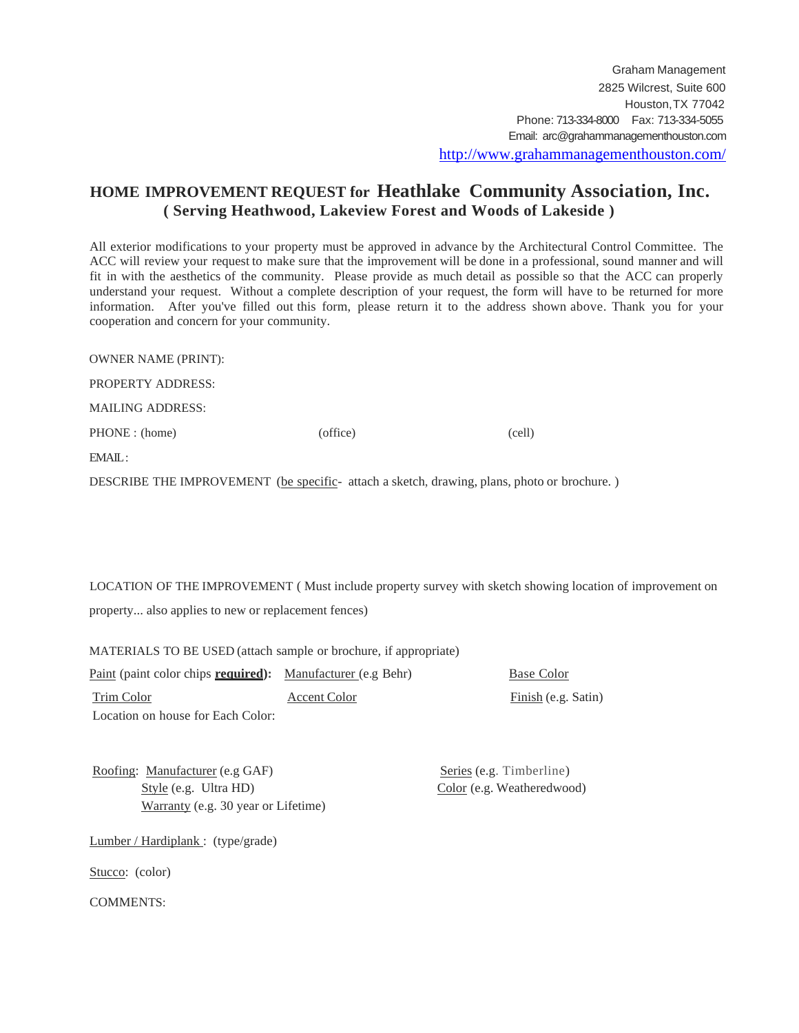## **HOME IMPROVEMENT REQUEST for Heathlake Community Association, Inc. ( Serving Heathwood, Lakeview Forest and Woods of Lakeside )**

All exterior modifications to your property must be approved in advance by the Architectural Control Committee. The ACC will review your request to make sure that the improvement will be done in a professional, sound manner and will fit in with the aesthetics of the community. Please provide as much detail as possible so that the ACC can properly understand your request. Without a complete description of your request, the form will have to be returned for more information. After you've filled out this form, please return it to the address shown above. Thank you for your cooperation and concern for your community.

| <b>OWNER NAME (PRINT):</b> |          |        |
|----------------------------|----------|--------|
| <b>PROPERTY ADDRESS:</b>   |          |        |
| <b>MAILING ADDRESS:</b>    |          |        |
| PHONE : (home)             | (office) | (cell) |
| EMAIL:                     |          |        |
|                            |          |        |

DESCRIBE THE IMPROVEMENT (be specific- attach a sketch, drawing, plans, photo or brochure. )

LOCATION OF THE IMPROVEMENT ( Must include property survey with sketch showing location of improvement on property... also applies to new or replacement fences)

MATERIALS TO BE USED (attach sample or brochure, if appropriate)

| Paint (paint color chips <b>required</b> ): Manufacturer (e.g Behr) |              |
|---------------------------------------------------------------------|--------------|
| Trim Color                                                          | Accent Color |
| Location on house for Each Color:                                   |              |

**Base Color** 

Finish (e.g. Satin)

Roofing: Manufacturer (e.g GAF) Series (e.g. Timberline) Style (e.g. Ultra HD) Color (e.g. Weatheredwood) Warranty (e.g. 30 year or Lifetime)

Lumber / Hardiplank : (type/grade)

Stucco: (color)

COMMENTS: